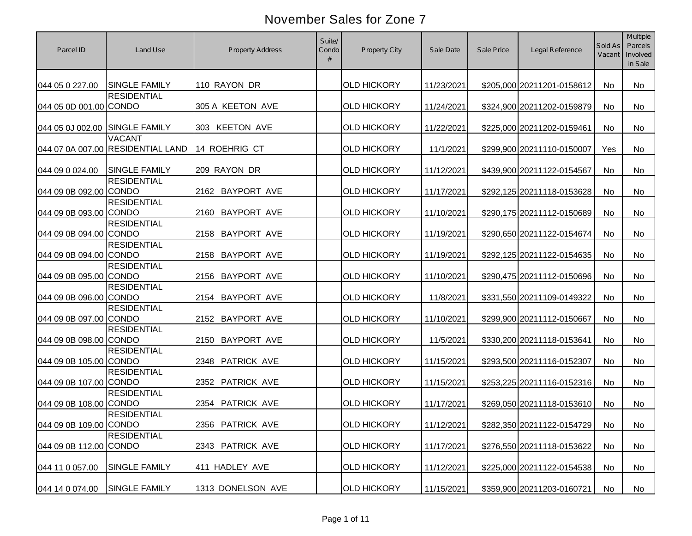| Parcel ID                      | Land Use                                           | <b>Property Address</b>    | Suite/<br>Condo<br># | <b>Property City</b> | Sale Date  | Sale Price | Legal Reference            | Sold As<br>Vacant | <b>Multiple</b><br>Parcels<br>Involved<br>in Sale |
|--------------------------------|----------------------------------------------------|----------------------------|----------------------|----------------------|------------|------------|----------------------------|-------------------|---------------------------------------------------|
| 044 05 0 227.00                | <b>SINGLE FAMILY</b>                               | 110 RAYON DR               |                      | <b>OLD HICKORY</b>   | 11/23/2021 |            | \$205,000 20211201-0158612 | No                | No                                                |
| 044 05 0D 001.00 CONDO         | <b>RESIDENTIAL</b>                                 | 305 A KEETON AVE           |                      | <b>OLD HICKORY</b>   | 11/24/2021 |            | \$324,900 20211202-0159879 | No                | No                                                |
| 044 05 0J 002.00 SINGLE FAMILY |                                                    | 303 KEETON AVE             |                      | <b>OLD HICKORY</b>   | 11/22/2021 |            | \$225,000 20211202-0159461 | No                | No                                                |
|                                | <b>VACANT</b><br>044 07 0A 007.00 RESIDENTIAL LAND | 14 ROEHRIG CT              |                      | <b>OLD HICKORY</b>   | 11/1/2021  |            | \$299,900 20211110-0150007 | Yes               | No                                                |
| 044 09 0 024.00                | <b>SINGLE FAMILY</b>                               | 209 RAYON DR               |                      | <b>OLD HICKORY</b>   | 11/12/2021 |            | \$439,900 20211122-0154567 | <b>No</b>         | <b>No</b>                                         |
| 044 09 0B 092.00 CONDO         | <b>RESIDENTIAL</b>                                 | 2162 BAYPORT AVE           |                      | <b>OLD HICKORY</b>   | 11/17/2021 |            | \$292,125 20211118-0153628 | <b>No</b>         | No                                                |
| 044 09 0B 093.00               | <b>RESIDENTIAL</b><br><b>CONDO</b>                 | <b>BAYPORT AVE</b><br>2160 |                      | <b>OLD HICKORY</b>   | 11/10/2021 |            | \$290,175 20211112-0150689 | <b>No</b>         | No                                                |
| 044 09 0B 094.00               | <b>RESIDENTIAL</b><br><b>CONDO</b>                 | <b>BAYPORT AVE</b><br>2158 |                      | <b>OLD HICKORY</b>   | 11/19/2021 |            | \$290,650 20211122-0154674 | No                | No                                                |
| 044 09 0B 094.00               | <b>RESIDENTIAL</b><br><b>CONDO</b>                 | <b>BAYPORT AVE</b><br>2158 |                      | <b>OLD HICKORY</b>   | 11/19/2021 |            | \$292,125 20211122-0154635 | No                | No                                                |
| 044 09 0B 095.00               | <b>RESIDENTIAL</b><br><b>CONDO</b>                 | <b>BAYPORT AVE</b><br>2156 |                      | <b>OLD HICKORY</b>   | 11/10/2021 |            | \$290,475 20211112-0150696 | No                | No                                                |
| 044 09 0B 096.00 CONDO         | <b>RESIDENTIAL</b>                                 | 2154 BAYPORT AVE           |                      | <b>OLD HICKORY</b>   | 11/8/2021  |            | \$331,550 20211109-0149322 | No                | <b>No</b>                                         |
| 044 09 0B 097.00 CONDO         | <b>RESIDENTIAL</b>                                 | 2152 BAYPORT AVE           |                      | <b>OLD HICKORY</b>   | 11/10/2021 |            | \$299,900 20211112-0150667 | <b>No</b>         | No                                                |
| 044 09 0B 098.00 CONDO         | <b>RESIDENTIAL</b>                                 | <b>BAYPORT AVE</b><br>2150 |                      | <b>OLD HICKORY</b>   | 11/5/2021  |            | \$330,200 20211118-0153641 | <b>No</b>         | <b>No</b>                                         |
| 044 09 0B 105.00 CONDO         | <b>RESIDENTIAL</b>                                 | 2348 PATRICK AVE           |                      | <b>OLD HICKORY</b>   | 11/15/2021 |            | \$293,500 20211116-0152307 | No                | <b>No</b>                                         |
| 044 09 0B 107.00 CONDO         | <b>RESIDENTIAL</b>                                 | 2352 PATRICK AVE           |                      | <b>OLD HICKORY</b>   | 11/15/2021 |            | \$253,225 20211116-0152316 | No                | <b>No</b>                                         |
| 044 09 0B 108.00 CONDO         | <b>RESIDENTIAL</b>                                 | 2354 PATRICK AVE           |                      | <b>OLD HICKORY</b>   | 11/17/2021 |            | \$269,050 20211118-0153610 | <b>No</b>         | No                                                |
| 044 09 0B 109.00 CONDO         | <b>RESIDENTIAL</b>                                 | 2356 PATRICK AVE           |                      | <b>OLD HICKORY</b>   | 11/12/2021 |            | \$282,350 20211122-0154729 | No                | No                                                |
| 044 09 0B 112.00 CONDO         | <b>RESIDENTIAL</b>                                 | 2343 PATRICK AVE           |                      | <b>OLD HICKORY</b>   | 11/17/2021 |            | \$276,550 20211118-0153622 | No                | No                                                |
| 044 11 0 057.00                | <b>SINGLE FAMILY</b>                               | 411 HADLEY AVE             |                      | <b>OLD HICKORY</b>   | 11/12/2021 |            | \$225,000 20211122-0154538 | No                | No                                                |
| 044 14 0 074.00                | <b>SINGLE FAMILY</b>                               | 1313 DONELSON AVE          |                      | <b>OLD HICKORY</b>   | 11/15/2021 |            | \$359,900 20211203-0160721 | No                | No                                                |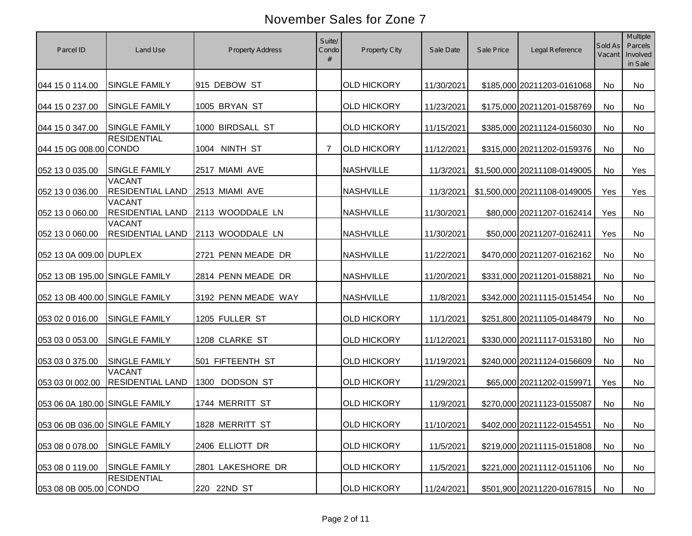| Parcel ID                      | Land Use                                 | <b>Property Address</b>  | Suite/<br>Condo<br># | Property City      | Sale Date  | Sale Price | Legal Reference              | Sold As<br>Vacant | Multiple<br>Parcels<br>Involved<br>in Sale |
|--------------------------------|------------------------------------------|--------------------------|----------------------|--------------------|------------|------------|------------------------------|-------------------|--------------------------------------------|
| 044 15 0 114.00                | <b>SINGLE FAMILY</b>                     | 915 DEBOW ST             |                      | <b>OLD HICKORY</b> | 11/30/2021 |            | \$185,000 20211203-0161068   | No                | <b>No</b>                                  |
| 044 15 0 237.00                | <b>SINGLE FAMILY</b>                     | 1005 BRYAN ST            |                      | <b>OLD HICKORY</b> | 11/23/2021 |            | \$175,000 20211201-0158769   | No                | No                                         |
| 044 15 0 347.00                | <b>SINGLE FAMILY</b>                     | 1000 BIRDSALL ST         |                      | <b>OLD HICKORY</b> | 11/15/2021 |            | \$385,000 20211124-0156030   | No                | No                                         |
| 044 15 0G 008.00 CONDO         | <b>RESIDENTIAL</b>                       | 1004 NINTH ST            | 7                    | <b>OLD HICKORY</b> | 11/12/2021 |            | \$315,000 20211202-0159376   | No                | No                                         |
| 052 13 0 035.00                | <b>SINGLE FAMILY</b>                     | 2517 MIAMI AVE           |                      | <b>NASHVILLE</b>   | 11/3/2021  |            | \$1,500,000 20211108-0149005 | <b>No</b>         | Yes                                        |
| 052 13 0 036.00                | <b>VACANT</b><br><b>RESIDENTIAL LAND</b> | 2513 MIAMI AVE           |                      | <b>NASHVILLE</b>   | 11/3/2021  |            | \$1,500,000 20211108-0149005 | Yes               | Yes                                        |
| 052 13 0 060.00                | <b>VACANT</b><br><b>RESIDENTIAL LAND</b> | 2113 WOODDALE LN         |                      | <b>NASHVILLE</b>   | 11/30/2021 |            | \$80,000 20211207-0162414    | Yes               | No                                         |
| 052 13 0 060.00                | <b>VACANT</b><br><b>RESIDENTIAL LAND</b> | 2113 WOODDALE LN         |                      | <b>NASHVILLE</b>   | 11/30/2021 |            | \$50,000 20211207-0162411    | Yes               | No                                         |
| 052 13 0A 009.00 DUPLEX        |                                          | 2721 PENN MEADE DR       |                      | <b>NASHVILLE</b>   | 11/22/2021 |            | \$470,000 20211207-0162162   | No                | No                                         |
| 052 13 0B 195.00 SINGLE FAMILY |                                          | 2814 PENN MEADE DR       |                      | <b>NASHVILLE</b>   | 11/20/2021 |            | \$331,000 20211201-0158821   | No                | No                                         |
| 052 13 0B 400.00 SINGLE FAMILY |                                          | 3192 PENN MEADE WAY      |                      | <b>NASHVILLE</b>   | 11/8/2021  |            | \$342,000 20211115-0151454   | No                | No                                         |
| 053 02 0 016.00                | <b>SINGLE FAMILY</b>                     | 1205 FULLER ST           |                      | <b>OLD HICKORY</b> | 11/1/2021  |            | \$251,800 20211105-0148479   | No                | No                                         |
| 053 03 0 053.00                | <b>SINGLE FAMILY</b>                     | 1208 CLARKE ST           |                      | <b>OLD HICKORY</b> | 11/12/2021 |            | \$330,000 20211117-0153180   | No                | No                                         |
| 053 03 0 375.00                | <b>SINGLE FAMILY</b>                     | 501 FIFTEENTH ST         |                      | <b>OLD HICKORY</b> | 11/19/2021 |            | \$240,000 20211124-0156609   | No                | <b>No</b>                                  |
| 053 03 01 002.00               | <b>VACANT</b><br><b>RESIDENTIAL LAND</b> | <b>DODSON ST</b><br>1300 |                      | <b>OLD HICKORY</b> | 11/29/2021 |            | \$65,000 20211202-0159971    | Yes               | No                                         |
| 053 06 0A 180.00 SINGLE FAMILY |                                          | 1744 MERRITT ST          |                      | <b>OLD HICKORY</b> | 11/9/2021  |            | \$270,000 20211123-0155087   | No                | No                                         |
| 053 06 0B 036.00 SINGLE FAMILY |                                          | 1828 MERRITT ST          |                      | <b>OLD HICKORY</b> | 11/10/2021 |            | \$402,000 20211122-0154551   | No                | No                                         |
| 053 08 0 078.00                | <b>SINGLE FAMILY</b>                     | 2406 ELLIOTT DR          |                      | <b>OLD HICKORY</b> | 11/5/2021  |            | \$219,000 20211115-0151808   | No                | No                                         |
| 053 08 0 119.00                | <b>SINGLE FAMILY</b>                     | 2801 LAKESHORE DR        |                      | <b>OLD HICKORY</b> | 11/5/2021  |            | \$221,000 20211112-0151106   | No                | No                                         |
| 053 08 0B 005.00 CONDO         | <b>RESIDENTIAL</b>                       | 220 22ND ST              |                      | <b>OLD HICKORY</b> | 11/24/2021 |            | \$501,900 20211220-0167815   | No                | No                                         |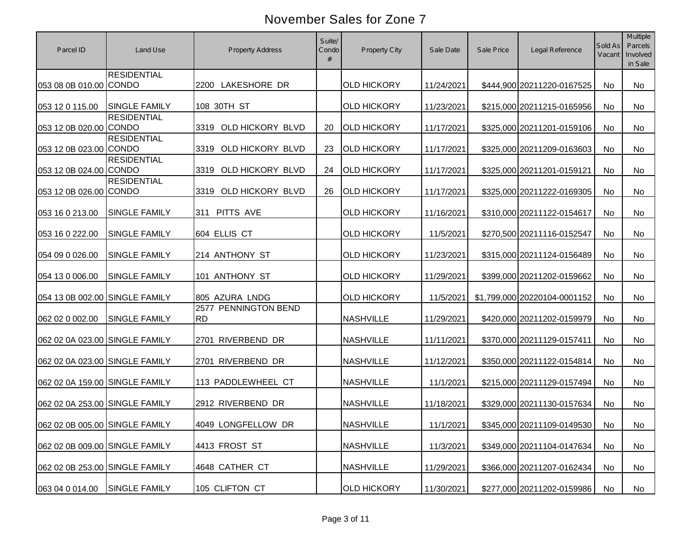| Parcel ID                      | Land Use             | <b>Property Address</b>           | Suite/<br>Condo | <b>Property City</b> | Sale Date  | Sale Price | Legal Reference              | Sold As<br>Vacant | Multiple<br>Parcels<br>Involved<br>in Sale |
|--------------------------------|----------------------|-----------------------------------|-----------------|----------------------|------------|------------|------------------------------|-------------------|--------------------------------------------|
| 053 08 0B 010.00 CONDO         | <b>RESIDENTIAL</b>   | 2200 LAKESHORE DR                 |                 | <b>OLD HICKORY</b>   | 11/24/2021 |            | \$444,900 20211220-0167525   | No                | No                                         |
| 053 12 0 115.00                | <b>SINGLE FAMILY</b> | 108 30TH ST                       |                 | <b>OLD HICKORY</b>   | 11/23/2021 |            | \$215,000 20211215-0165956   | No                | No                                         |
| 053 12 0B 020.00 CONDO         | <b>RESIDENTIAL</b>   | OLD HICKORY BLVD<br>3319          | 20              | <b>OLD HICKORY</b>   | 11/17/2021 |            | \$325,000 20211201-0159106   | No                | No                                         |
| 053 12 0B 023.00 CONDO         | <b>RESIDENTIAL</b>   | OLD HICKORY BLVD<br>3319          | 23              | <b>OLD HICKORY</b>   | 11/17/2021 |            | \$325,000 20211209-0163603   | No                | No                                         |
| 053 12 0B 024.00 CONDO         | <b>RESIDENTIAL</b>   | OLD HICKORY BLVD<br>3319          | 24              | <b>OLD HICKORY</b>   | 11/17/2021 |            | \$325,000 20211201-0159121   | No                | No                                         |
| 053 12 0B 026.00 CONDO         | <b>RESIDENTIAL</b>   | OLD HICKORY BLVD<br>3319          | 26              | <b>OLD HICKORY</b>   | 11/17/2021 |            | \$325,000 20211222-0169305   | No                | No                                         |
| 053 16 0 213.00                | SINGLE FAMILY        | PITTS AVE<br>311                  |                 | <b>OLD HICKORY</b>   | 11/16/2021 |            | \$310,000 20211122-0154617   | No                | No                                         |
| 053 16 0 222.00                | SINGLE FAMILY        | 604 ELLIS CT                      |                 | <b>OLD HICKORY</b>   | 11/5/2021  |            | \$270,500 20211116-0152547   | No                | No                                         |
| 054 09 0 026.00                | <b>SINGLE FAMILY</b> | 214 ANTHONY ST                    |                 | <b>OLD HICKORY</b>   | 11/23/2021 |            | \$315,000 20211124-0156489   | No                | No                                         |
| 054 13 0 006.00                | SINGLE FAMILY        | 101 ANTHONY ST                    |                 | <b>OLD HICKORY</b>   | 11/29/2021 |            | \$399,000 20211202-0159662   | No                | No                                         |
| 054 13 0B 002.00 SINGLE FAMILY |                      | 805 AZURA LNDG                    |                 | <b>OLD HICKORY</b>   | 11/5/2021  |            | \$1,799,000 20220104-0001152 | No                | No                                         |
| 062 02 0 002.00                | <b>SINGLE FAMILY</b> | 2577 PENNINGTON BEND<br><b>RD</b> |                 | <b>NASHVILLE</b>     | 11/29/2021 |            | \$420,000 20211202-0159979   | No                | No                                         |
| 062 02 0A 023.00 SINGLE FAMILY |                      | 2701 RIVERBEND DR                 |                 | <b>NASHVILLE</b>     | 11/11/2021 |            | \$370,000 20211129-0157411   | No                | No                                         |
| 062 02 0A 023.00 SINGLE FAMILY |                      | 2701 RIVERBEND DR                 |                 | <b>NASHVILLE</b>     | 11/12/2021 |            | \$350,000 20211122-0154814   | No                | <b>No</b>                                  |
| 062 02 0A 159.00 SINGLE FAMILY |                      | 113 PADDLEWHEEL CT                |                 | <b>NASHVILLE</b>     | 11/1/2021  |            | \$215,000 20211129-0157494   | No                | No                                         |
| 062 02 0A 253.00 SINGLE FAMILY |                      | 2912 RIVERBEND DR                 |                 | <b>NASHVILLE</b>     | 11/18/2021 |            | \$329,000 20211130-0157634   | No                | No                                         |
| 062 02 0B 005.00 SINGLE FAMILY |                      | 4049 LONGFELLOW DR                |                 | <b>NASHVILLE</b>     | 11/1/2021  |            | \$345,000 20211109-0149530   | No                | No                                         |
| 062 02 0B 009.00 SINGLE FAMILY |                      | 4413 FROST ST                     |                 | <b>NASHVILLE</b>     | 11/3/2021  |            | \$349,000 20211104-0147634   | No                | No                                         |
| 062 02 0B 253.00 SINGLE FAMILY |                      | 4648 CATHER CT                    |                 | <b>NASHVILLE</b>     | 11/29/2021 |            | \$366,000 20211207-0162434   | No                | No                                         |
| 063 04 0 014.00                | SINGLE FAMILY        | 105 CLIFTON CT                    |                 | <b>OLD HICKORY</b>   | 11/30/2021 |            | \$277,000 20211202-0159986   | No                | No                                         |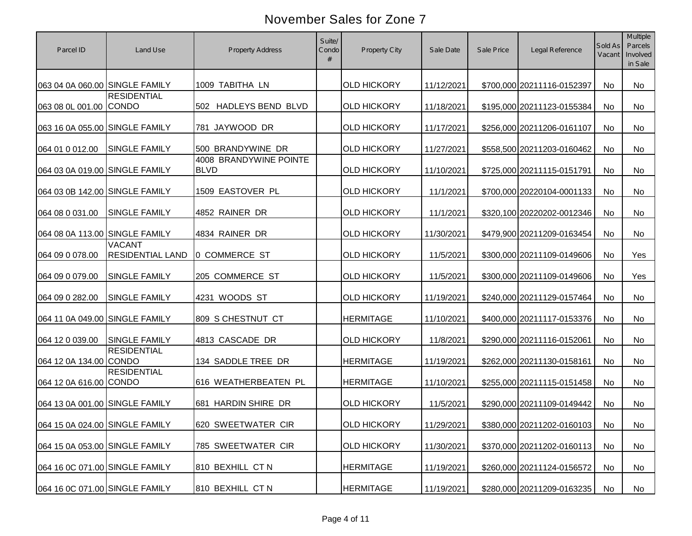| Parcel ID                      | Land Use                                 | <b>Property Address</b>               | Suite/<br>Condo<br># | Property City      | Sale Date  | Sale Price | Legal Reference            | Sold As<br>Vacant | Multiple<br>Parcels<br>Involved<br>in Sale |
|--------------------------------|------------------------------------------|---------------------------------------|----------------------|--------------------|------------|------------|----------------------------|-------------------|--------------------------------------------|
| 063 04 0A 060.00 SINGLE FAMILY |                                          | 1009 TABITHA LN                       |                      | <b>OLD HICKORY</b> | 11/12/2021 |            | \$700,000 20211116-0152397 | No                | No                                         |
| 063 08 0L 001.00 CONDO         | <b>RESIDENTIAL</b>                       | 502 HADLEYS BEND BLVD                 |                      | <b>OLD HICKORY</b> | 11/18/2021 |            | \$195,000 20211123-0155384 | No                | No                                         |
| 063 16 0A 055.00 SINGLE FAMILY |                                          | 781 JAYWOOD DR                        |                      | <b>OLD HICKORY</b> | 11/17/2021 |            | \$256,000 20211206-0161107 | No                | No                                         |
| 064 01 0 012.00                | <b>SINGLE FAMILY</b>                     | 500 BRANDYWINE DR                     |                      | <b>OLD HICKORY</b> | 11/27/2021 |            | \$558,500 20211203-0160462 | No                | No                                         |
| 064 03 0A 019.00 SINGLE FAMILY |                                          | 4008 BRANDYWINE POINTE<br><b>BLVD</b> |                      | <b>OLD HICKORY</b> | 11/10/2021 |            | \$725,000 20211115-0151791 | <b>No</b>         | No                                         |
| 064 03 0B 142.00 SINGLE FAMILY |                                          | 1509 EASTOVER PL                      |                      | <b>OLD HICKORY</b> | 11/1/2021  |            | \$700,000 20220104-0001133 | No                | No                                         |
| 064 08 0 031.00                | <b>SINGLE FAMILY</b>                     | 4852 RAINER DR                        |                      | <b>OLD HICKORY</b> | 11/1/2021  |            | \$320,100 20220202-0012346 | <b>No</b>         | No                                         |
| 064 08 0A 113.00 SINGLE FAMILY |                                          | 4834 RAINER DR                        |                      | <b>OLD HICKORY</b> | 11/30/2021 |            | \$479,900 20211209-0163454 | <b>No</b>         | No                                         |
| 064 09 0 078.00                | <b>VACANT</b><br><b>RESIDENTIAL LAND</b> | 0 COMMERCE ST                         |                      | <b>OLD HICKORY</b> | 11/5/2021  |            | \$300,000 20211109-0149606 | No                | Yes                                        |
| 064 09 0 079.00                | SINGLE FAMILY                            | 205 COMMERCE ST                       |                      | <b>OLD HICKORY</b> | 11/5/2021  |            | \$300,000 20211109-0149606 | No                | Yes                                        |
| 064 09 0 282.00                | <b>SINGLE FAMILY</b>                     | 4231 WOODS ST                         |                      | <b>OLD HICKORY</b> | 11/19/2021 |            | \$240,000 20211129-0157464 | No                | No                                         |
| 064 11 0A 049.00 SINGLE FAMILY |                                          | 809 S CHESTNUT CT                     |                      | <b>HERMITAGE</b>   | 11/10/2021 |            | \$400,000 20211117-0153376 | No                | No                                         |
| 064 12 0 039.00                | <b>SINGLE FAMILY</b>                     | 4813 CASCADE DR                       |                      | <b>OLD HICKORY</b> | 11/8/2021  |            | \$290,000 20211116-0152061 | No                | No                                         |
| 064 12 0A 134.00 CONDO         | <b>RESIDENTIAL</b>                       | 134 SADDLE TREE DR                    |                      | <b>HERMITAGE</b>   | 11/19/2021 |            | \$262,000 20211130-0158161 | No                | <b>No</b>                                  |
| 064 12 0A 616.00 CONDO         | <b>RESIDENTIAL</b>                       | 616 WEATHERBEATEN PL                  |                      | <b>HERMITAGE</b>   | 11/10/2021 |            | \$255,000 20211115-0151458 | No                | No                                         |
| 064 13 0A 001.00 SINGLE FAMILY |                                          | 681 HARDIN SHIRE DR                   |                      | <b>OLD HICKORY</b> | 11/5/2021  |            | \$290,000 20211109-0149442 | No                | No                                         |
| 064 15 0A 024.00 SINGLE FAMILY |                                          | 620 SWEETWATER CIR                    |                      | <b>OLD HICKORY</b> | 11/29/2021 |            | \$380,000 20211202-0160103 | No                | No                                         |
| 064 15 0A 053.00 SINGLE FAMILY |                                          | 785 SWEETWATER CIR                    |                      | <b>OLD HICKORY</b> | 11/30/2021 |            | \$370,000 20211202-0160113 | No                | No                                         |
| 064 16 0C 071.00 SINGLE FAMILY |                                          | 810 BEXHILL CT N                      |                      | <b>HERMITAGE</b>   | 11/19/2021 |            | \$260,000 20211124-0156572 | No                | No                                         |
| 064 16 0C 071.00 SINGLE FAMILY |                                          | 810 BEXHILL CT N                      |                      | <b>HERMITAGE</b>   | 11/19/2021 |            | \$280,000 20211209-0163235 | No                | No                                         |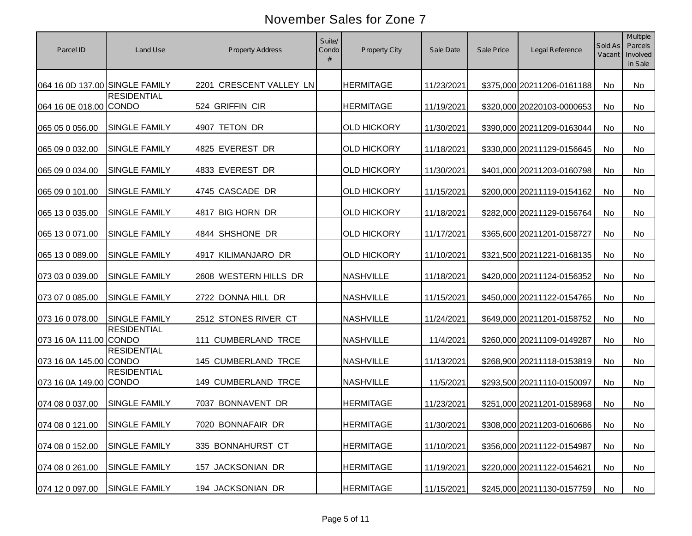| Parcel ID                      | Land Use             | <b>Property Address</b> | Suite/<br>Condo | Property City      | Sale Date  | Sale Price | Legal Reference            | Sold As<br>Vacant | Multiple<br>Parcels<br>Involved<br>in Sale |
|--------------------------------|----------------------|-------------------------|-----------------|--------------------|------------|------------|----------------------------|-------------------|--------------------------------------------|
| 064 16 0D 137.00 SINGLE FAMILY |                      | 2201 CRESCENT VALLEY LN |                 | <b>HERMITAGE</b>   | 11/23/2021 |            | \$375,000 20211206-0161188 | No                | <b>No</b>                                  |
| 064 16 0E 018.00 CONDO         | <b>RESIDENTIAL</b>   | 524 GRIFFIN CIR         |                 | <b>HERMITAGE</b>   | 11/19/2021 |            | \$320,000 20220103-0000653 | No                | No                                         |
| 065 05 0 056.00                | <b>SINGLE FAMILY</b> | 4907 TETON DR           |                 | <b>OLD HICKORY</b> | 11/30/2021 |            | \$390,000 20211209-0163044 | <b>No</b>         | <b>No</b>                                  |
| 065 09 0 032.00                | <b>SINGLE FAMILY</b> | 4825 EVEREST DR         |                 | <b>OLD HICKORY</b> | 11/18/2021 |            | \$330,000 20211129-0156645 | <b>No</b>         | No                                         |
| 065 09 0 034.00                | <b>SINGLE FAMILY</b> | 4833 EVEREST DR         |                 | <b>OLD HICKORY</b> | 11/30/2021 |            | \$401,000 20211203-0160798 | <b>No</b>         | No                                         |
| 065 09 0 101.00                | <b>SINGLE FAMILY</b> | 4745 CASCADE DR         |                 | <b>OLD HICKORY</b> | 11/15/2021 |            | \$200,000 20211119-0154162 | No                | No                                         |
| 065 13 0 035.00                | <b>SINGLE FAMILY</b> | 4817 BIG HORN DR        |                 | <b>OLD HICKORY</b> | 11/18/2021 |            | \$282,000 20211129-0156764 | No                | No                                         |
| 065 13 0 071.00                | <b>SINGLE FAMILY</b> | 4844 SHSHONE DR         |                 | <b>OLD HICKORY</b> | 11/17/2021 |            | \$365,600 20211201-0158727 | No                | No                                         |
| 065 13 0 089.00                | <b>SINGLE FAMILY</b> | 4917 KILIMANJARO DR     |                 | <b>OLD HICKORY</b> | 11/10/2021 |            | \$321,500 20211221-0168135 | No                | <b>No</b>                                  |
| 073 03 0 039.00                | SINGLE FAMILY        | 2608 WESTERN HILLS DR   |                 | <b>NASHVILLE</b>   | 11/18/2021 |            | \$420,000 20211124-0156352 | No                | No                                         |
| 073 07 0 085.00                | <b>SINGLE FAMILY</b> | 2722 DONNA HILL DR      |                 | <b>NASHVILLE</b>   | 11/15/2021 |            | \$450,000 20211122-0154765 | No                | No                                         |
| 073 16 0 078.00                | <b>SINGLE FAMILY</b> | 2512 STONES RIVER CT    |                 | <b>NASHVILLE</b>   | 11/24/2021 |            | \$649,000 20211201-0158752 | No                | <b>No</b>                                  |
| 073 16 0A 111.00 CONDO         | <b>RESIDENTIAL</b>   | 111 CUMBERLAND TRCE     |                 | <b>NASHVILLE</b>   | 11/4/2021  |            | \$260,000 20211109-0149287 | No                | <b>No</b>                                  |
| 073 16 0A 145.00 CONDO         | <b>RESIDENTIAL</b>   | 145 CUMBERLAND TRCE     |                 | <b>NASHVILLE</b>   | 11/13/2021 |            | \$268,900 20211118-0153819 | <b>No</b>         | <b>No</b>                                  |
| 073 16 0A 149.00 CONDO         | <b>RESIDENTIAL</b>   | 149 CUMBERLAND TRCE     |                 | <b>NASHVILLE</b>   | 11/5/2021  |            | \$293,500 20211110-0150097 | No                | <b>No</b>                                  |
| 074 08 0 037.00                | <b>SINGLE FAMILY</b> | 7037 BONNAVENT DR       |                 | <b>HERMITAGE</b>   | 11/23/2021 |            | \$251,000 20211201-0158968 | No                | No                                         |
| 074 08 0 121.00 SINGLE FAMILY  |                      | 7020 BONNAFAIR DR       |                 | <b>HERMITAGE</b>   | 11/30/2021 |            | \$308,000 20211203-0160686 | No                | No                                         |
| 074 08 0 152.00                | <b>SINGLE FAMILY</b> | 335 BONNAHURST CT       |                 | <b>HERMITAGE</b>   | 11/10/2021 |            | \$356,000 20211122-0154987 | No                | No                                         |
| 074 08 0 261.00                | SINGLE FAMILY        | 157 JACKSONIAN DR       |                 | <b>HERMITAGE</b>   | 11/19/2021 |            | \$220,000 20211122-0154621 | No                | No                                         |
| 074 12 0 097.00                | SINGLE FAMILY        | 194 JACKSONIAN DR       |                 | <b>HERMITAGE</b>   | 11/15/2021 |            | \$245,000 20211130-0157759 | No                | No                                         |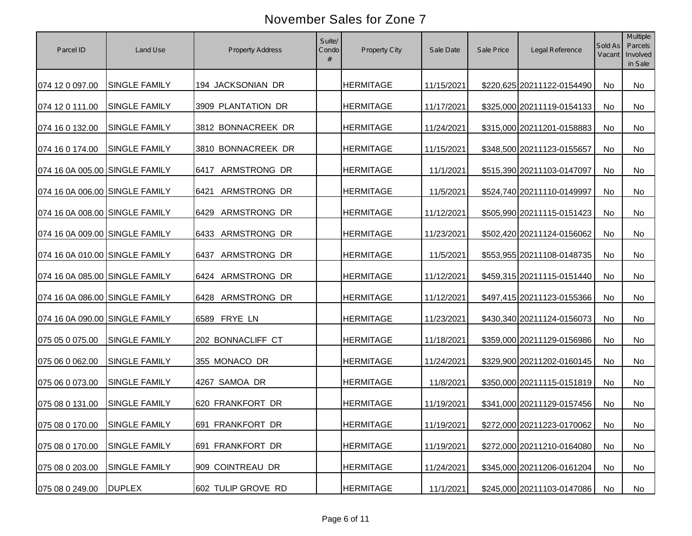| Parcel ID                      | Land Use             | <b>Property Address</b>     | Suite/<br>Condo<br># | Property City    | Sale Date  | Sale Price | Legal Reference            | Sold As<br>Vacant | Multiple<br>Parcels<br>Involved<br>in Sale |
|--------------------------------|----------------------|-----------------------------|----------------------|------------------|------------|------------|----------------------------|-------------------|--------------------------------------------|
| 074 12 0 097.00                | SINGLE FAMILY        | 194 JACKSONIAN DR           |                      | <b>HERMITAGE</b> | 11/15/2021 |            | \$220,625 20211122-0154490 | No                | No                                         |
| 074 12 0 111.00                | <b>SINGLE FAMILY</b> | 3909 PLANTATION DR          |                      | <b>HERMITAGE</b> | 11/17/2021 |            | \$325,000 20211119-0154133 | No                | No                                         |
| 074 16 0 132.00                | <b>SINGLE FAMILY</b> | 3812 BONNACREEK DR          |                      | <b>HERMITAGE</b> | 11/24/2021 |            | \$315,000 20211201-0158883 | No                | No                                         |
| 074 16 0 174.00                | <b>SINGLE FAMILY</b> | 3810 BONNACREEK DR          |                      | <b>HERMITAGE</b> | 11/15/2021 |            | \$348,500 20211123-0155657 | <b>No</b>         | No                                         |
| 074 16 0A 005.00 SINGLE FAMILY |                      | ARMSTRONG DR<br>6417        |                      | <b>HERMITAGE</b> | 11/1/2021  |            | \$515,390 20211103-0147097 | <b>No</b>         | No                                         |
| 074 16 0A 006.00 SINGLE FAMILY |                      | ARMSTRONG DR<br>6421        |                      | <b>HERMITAGE</b> | 11/5/2021  |            | \$524,740 20211110-0149997 | No                | No                                         |
| 074 16 0A 008.00 SINGLE FAMILY |                      | ARMSTRONG DR<br>6429        |                      | <b>HERMITAGE</b> | 11/12/2021 |            | \$505,990 20211115-0151423 | No                | No                                         |
| 074 16 0A 009.00 SINGLE FAMILY |                      | ARMSTRONG DR<br>6433        |                      | <b>HERMITAGE</b> | 11/23/2021 |            | \$502,420 20211124-0156062 | No                | <b>No</b>                                  |
| 074 16 0A 010.00 SINGLE FAMILY |                      | <b>ARMSTRONG DR</b><br>6437 |                      | <b>HERMITAGE</b> | 11/5/2021  |            | \$553,955 20211108-0148735 | No                | No                                         |
| 074 16 0A 085.00 SINGLE FAMILY |                      | ARMSTRONG DR<br>6424        |                      | <b>HERMITAGE</b> | 11/12/2021 |            | \$459,315 20211115-0151440 | No                | No                                         |
| 074 16 0A 086.00 SINGLE FAMILY |                      | ARMSTRONG DR<br>6428        |                      | <b>HERMITAGE</b> | 11/12/2021 |            | \$497,415 20211123-0155366 | No                | <b>No</b>                                  |
| 074 16 0A 090.00 SINGLE FAMILY |                      | 6589 FRYE LN                |                      | <b>HERMITAGE</b> | 11/23/2021 |            | \$430,340 20211124-0156073 | No                | No                                         |
| 075 05 0 075.00                | SINGLE FAMILY        | 202 BONNACLIFF CT           |                      | <b>HERMITAGE</b> | 11/18/2021 |            | \$359,000 20211129-0156986 | No                | No                                         |
| 075 06 0 062.00                | SINGLE FAMILY        | 355 MONACO DR               |                      | <b>HERMITAGE</b> | 11/24/2021 |            | \$329,900 20211202-0160145 | No                | <b>No</b>                                  |
| 075 06 0 073.00                | SINGLE FAMILY        | 4267 SAMOA DR               |                      | <b>HERMITAGE</b> | 11/8/2021  |            | \$350,000 20211115-0151819 | No                | No                                         |
| 075 08 0 131.00                | SINGLE FAMILY        | 620 FRANKFORT DR            |                      | <b>HERMITAGE</b> | 11/19/2021 |            | \$341,000 20211129-0157456 | No                | No                                         |
| 075 08 0 170.00 SINGLE FAMILY  |                      | 691 FRANKFORT DR            |                      | <b>HERMITAGE</b> | 11/19/2021 |            | \$272,000 20211223-0170062 | No                | No                                         |
| 075 08 0 170.00                | <b>SINGLE FAMILY</b> | 691 FRANKFORT DR            |                      | <b>HERMITAGE</b> | 11/19/2021 |            | \$272,000 20211210-0164080 | No                | No                                         |
| 075 08 0 203.00                | <b>SINGLE FAMILY</b> | 909 COINTREAU DR            |                      | <b>HERMITAGE</b> | 11/24/2021 |            | \$345,000 20211206-0161204 | No                | No                                         |
| 075 08 0 249.00                | <b>DUPLEX</b>        | 602 TULIP GROVE RD          |                      | <b>HERMITAGE</b> | 11/1/2021  |            | \$245,000 20211103-0147086 | No                | No                                         |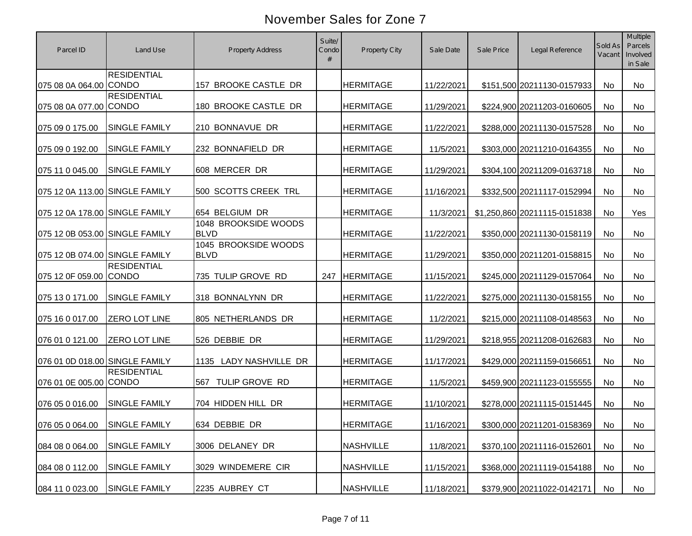| Parcel ID                      | Land Use                           | <b>Property Address</b>             | Suite/<br>Condo | <b>Property City</b> | Sale Date  | Sale Price | Legal Reference              | Sold As<br>Vacant | Multiple<br>Parcels<br>Involved<br>in Sale |
|--------------------------------|------------------------------------|-------------------------------------|-----------------|----------------------|------------|------------|------------------------------|-------------------|--------------------------------------------|
| 075 08 0A 064.00 CONDO         | <b>RESIDENTIAL</b>                 | 157 BROOKE CASTLE DR                |                 | <b>HERMITAGE</b>     | 11/22/2021 |            | \$151,500 20211130-0157933   | No                | No                                         |
| 075 08 0A 077.00 CONDO         | <b>RESIDENTIAL</b>                 | 180 BROOKE CASTLE DR                |                 | <b>HERMITAGE</b>     | 11/29/2021 |            | \$224,900 20211203-0160605   | No                | No                                         |
| 075 09 0 175.00                | <b>SINGLE FAMILY</b>               | 210 BONNAVUE DR                     |                 | <b>HERMITAGE</b>     | 11/22/2021 |            | \$288,000 20211130-0157528   | No                | No                                         |
| 075 09 0 192.00                | SINGLE FAMILY                      | 232 BONNAFIELD DR                   |                 | <b>HERMITAGE</b>     | 11/5/2021  |            | \$303,000 20211210-0164355   | No                | No                                         |
| 075 11 0 045.00                | SINGLE FAMILY                      | 608 MERCER DR                       |                 | <b>HERMITAGE</b>     | 11/29/2021 |            | \$304,100 20211209-0163718   | No                | <b>No</b>                                  |
| 075 12 0A 113.00 SINGLE FAMILY |                                    | 500 SCOTTS CREEK TRL                |                 | <b>HERMITAGE</b>     | 11/16/2021 |            | \$332,500 20211117-0152994   | No                | No                                         |
| 075 12 0A 178.00 SINGLE FAMILY |                                    | 654 BELGIUM DR                      |                 | <b>HERMITAGE</b>     | 11/3/2021  |            | \$1,250,860 20211115-0151838 | No                | Yes                                        |
| 075 12 0B 053.00 SINGLE FAMILY |                                    | 1048 BROOKSIDE WOODS<br><b>BLVD</b> |                 | <b>HERMITAGE</b>     | 11/22/2021 |            | \$350,000 20211130-0158119   | No                | <b>No</b>                                  |
| 075 12 0B 074.00 SINGLE FAMILY |                                    | 1045 BROOKSIDE WOODS<br><b>BLVD</b> |                 | <b>HERMITAGE</b>     | 11/29/2021 |            | \$350,000 20211201-0158815   | No                | No                                         |
| 075 12 0F 059.00               | <b>RESIDENTIAL</b><br><b>CONDO</b> | 735 TULIP GROVE RD                  | 247             | <b>HERMITAGE</b>     | 11/15/2021 |            | \$245,000 20211129-0157064   | No                | No                                         |
| 075 13 0 171.00                | SINGLE FAMILY                      | 318 BONNALYNN DR                    |                 | <b>HERMITAGE</b>     | 11/22/2021 |            | \$275,000 20211130-0158155   | No                | No                                         |
| 075 16 0 017.00                | ZERO LOT LINE                      | 805 NETHERLANDS DR                  |                 | <b>HERMITAGE</b>     | 11/2/2021  |            | \$215,000 20211108-0148563   | No                | No                                         |
| 076 01 0 121.00                | ZERO LOT LINE                      | 526 DEBBIE DR                       |                 | <b>HERMITAGE</b>     | 11/29/2021 |            | \$218,955 20211208-0162683   | No                | No                                         |
| 076 01 0D 018.00 SINGLE FAMILY |                                    | 1135 LADY NASHVILLE DR              |                 | <b>HERMITAGE</b>     | 11/17/2021 |            | \$429,000 20211159-0156651   | No                | <b>No</b>                                  |
| 076 01 0E 005.00 CONDO         | <b>RESIDENTIAL</b>                 | TULIP GROVE RD<br>567               |                 | <b>HERMITAGE</b>     | 11/5/2021  |            | \$459,900 20211123-0155555   | No                | <b>No</b>                                  |
| 076 05 0 016.00                | SINGLE FAMILY                      | 704 HIDDEN HILL DR                  |                 | <b>HERMITAGE</b>     | 11/10/2021 |            | \$278,000 20211115-0151445   | No                | No                                         |
| 076 05 0 064.00 SINGLE FAMILY  |                                    | 634 DEBBIE DR                       |                 | <b>HERMITAGE</b>     | 11/16/2021 |            | \$300,000 20211201-0158369   | No                | No                                         |
| 084 08 0 064.00                | SINGLE FAMILY                      | 3006 DELANEY DR                     |                 | <b>NASHVILLE</b>     | 11/8/2021  |            | \$370,100 20211116-0152601   | No                | No                                         |
| 084 08 0 112.00                | SINGLE FAMILY                      | 3029 WINDEMERE CIR                  |                 | <b>NASHVILLE</b>     | 11/15/2021 |            | \$368,000 20211119-0154188   | No                | No                                         |
| 084 11 0 023.00                | SINGLE FAMILY                      | 2235 AUBREY CT                      |                 | <b>NASHVILLE</b>     | 11/18/2021 |            | \$379,900 20211022-0142171   | No                | No                                         |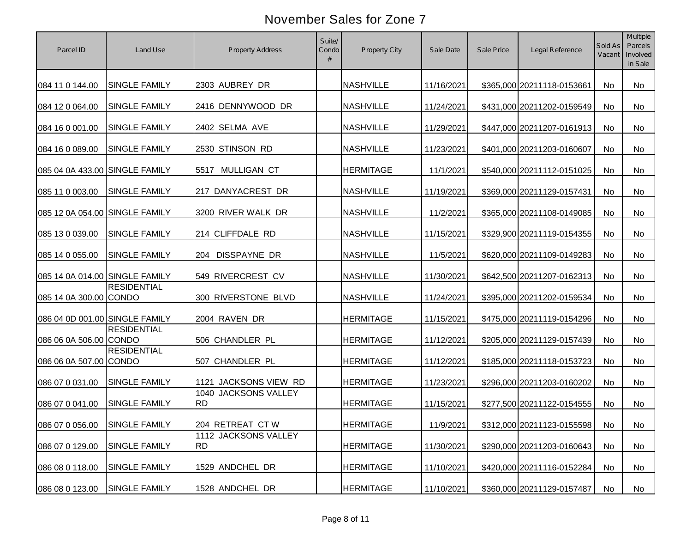| Parcel ID                      | Land Use             | <b>Property Address</b>           | Suite/<br>Condo<br># | Property City    | Sale Date  | Sale Price | Legal Reference            | Sold As<br>Vacant | Multiple<br>Parcels<br>Involved<br>in Sale |
|--------------------------------|----------------------|-----------------------------------|----------------------|------------------|------------|------------|----------------------------|-------------------|--------------------------------------------|
| 084 11 0 144.00                | <b>SINGLE FAMILY</b> | 2303 AUBREY DR                    |                      | <b>NASHVILLE</b> | 11/16/2021 |            | \$365,000 20211118-0153661 | No                | <b>No</b>                                  |
| 084 12 0 064.00                | <b>SINGLE FAMILY</b> | 2416 DENNYWOOD DR                 |                      | <b>NASHVILLE</b> | 11/24/2021 |            | \$431,000 20211202-0159549 | No                | No                                         |
| 084 16 0 001.00                | <b>SINGLE FAMILY</b> | 2402 SELMA AVE                    |                      | <b>NASHVILLE</b> | 11/29/2021 |            | \$447,000 20211207-0161913 | <b>No</b>         | <b>No</b>                                  |
| 084 16 0 089.00                | <b>SINGLE FAMILY</b> | 2530 STINSON RD                   |                      | <b>NASHVILLE</b> | 11/23/2021 |            | \$401,000 20211203-0160607 | <b>No</b>         | No                                         |
| 085 04 0A 433.00 SINGLE FAMILY |                      | MULLIGAN CT<br>5517               |                      | <b>HERMITAGE</b> | 11/1/2021  |            | \$540,000 20211112-0151025 | <b>No</b>         | No                                         |
| 085 11 0 003.00                | <b>SINGLE FAMILY</b> | 217 DANYACREST DR                 |                      | <b>NASHVILLE</b> | 11/19/2021 |            | \$369,000 20211129-0157431 | No                | No                                         |
| 085 12 0A 054.00 SINGLE FAMILY |                      | 3200 RIVER WALK DR                |                      | <b>NASHVILLE</b> | 11/2/2021  |            | \$365,000 20211108-0149085 | No                | No                                         |
| 085 13 0 039.00                | SINGLE FAMILY        | 214 CLIFFDALE RD                  |                      | <b>NASHVILLE</b> | 11/15/2021 |            | \$329,900 20211119-0154355 | No                | No                                         |
| 085 14 0 055.00                | <b>SINGLE FAMILY</b> | DISSPAYNE DR<br>204               |                      | <b>NASHVILLE</b> | 11/5/2021  |            | \$620,000 20211109-0149283 | No                | No                                         |
| 085 14 0A 014.00 SINGLE FAMILY |                      | 549 RIVERCREST CV                 |                      | <b>NASHVILLE</b> | 11/30/2021 |            | \$642,500 20211207-0162313 | No                | No                                         |
| 085 14 0A 300.00 CONDO         | <b>RESIDENTIAL</b>   | 300 RIVERSTONE BLVD               |                      | <b>NASHVILLE</b> | 11/24/2021 |            | \$395,000 20211202-0159534 | No                | No                                         |
| 086 04 0D 001.00 SINGLE FAMILY |                      | 2004 RAVEN DR                     |                      | <b>HERMITAGE</b> | 11/15/2021 |            | \$475,000 20211119-0154296 | No                | <b>No</b>                                  |
| 086 06 0A 506.00 CONDO         | <b>RESIDENTIAL</b>   | 506 CHANDLER PL                   |                      | <b>HERMITAGE</b> | 11/12/2021 |            | \$205,000 20211129-0157439 | No                | No                                         |
| 086 06 0A 507.00 CONDO         | <b>RESIDENTIAL</b>   | 507 CHANDLER PL                   |                      | <b>HERMITAGE</b> | 11/12/2021 |            | \$185,000 20211118-0153723 | <b>No</b>         | <b>No</b>                                  |
| 086 07 0 031.00                | <b>SINGLE FAMILY</b> | 1121 JACKSONS VIEW RD             |                      | <b>HERMITAGE</b> | 11/23/2021 |            | \$296,000 20211203-0160202 | No                | <b>No</b>                                  |
| 086 07 0 041.00                | <b>SINGLE FAMILY</b> | 1040 JACKSONS VALLEY<br><b>RD</b> |                      | <b>HERMITAGE</b> | 11/15/2021 |            | \$277,500 20211122-0154555 | No                | No                                         |
| 086 07 0 056.00                | <b>SINGLE FAMILY</b> | 204 RETREAT CTW                   |                      | <b>HERMITAGE</b> | 11/9/2021  |            | \$312,000 20211123-0155598 | No                | No                                         |
| 086 07 0 129.00                | <b>SINGLE FAMILY</b> | 1112 JACKSONS VALLEY<br><b>RD</b> |                      | <b>HERMITAGE</b> | 11/30/2021 |            | \$290,000 20211203-0160643 | No                | No                                         |
| 086 08 0 118.00                | SINGLE FAMILY        | 1529 ANDCHEL DR                   |                      | <b>HERMITAGE</b> | 11/10/2021 |            | \$420,000 20211116-0152284 | No                | No                                         |
| 086 08 0 123.00                | SINGLE FAMILY        | 1528 ANDCHEL DR                   |                      | <b>HERMITAGE</b> | 11/10/2021 |            | \$360,000 20211129-0157487 | No                | No                                         |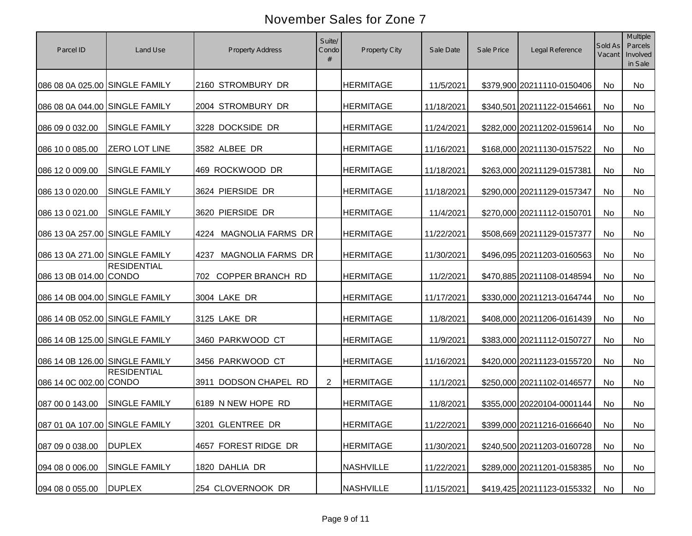| Parcel ID                      | Land Use             | <b>Property Address</b>   | Suite/<br>Condo<br># | Property City    | Sale Date  | Sale Price | Legal Reference            | Sold As<br>Vacant | Multiple<br>Parcels<br>Involved<br>in Sale |
|--------------------------------|----------------------|---------------------------|----------------------|------------------|------------|------------|----------------------------|-------------------|--------------------------------------------|
| 086 08 0A 025.00 SINGLE FAMILY |                      | 2160 STROMBURY DR         |                      | <b>HERMITAGE</b> | 11/5/2021  |            | \$379,900 20211110-0150406 | No                | <b>No</b>                                  |
| 086 08 0A 044.00 SINGLE FAMILY |                      | 2004 STROMBURY DR         |                      | <b>HERMITAGE</b> | 11/18/2021 |            | \$340,501 20211122-0154661 | No                | No                                         |
| 086 09 0 032.00                | <b>SINGLE FAMILY</b> | 3228 DOCKSIDE DR          |                      | <b>HERMITAGE</b> | 11/24/2021 |            | \$282,000 20211202-0159614 | <b>No</b>         | <b>No</b>                                  |
| 086 10 0 085.00                | <b>ZERO LOT LINE</b> | 3582 ALBEE DR             |                      | <b>HERMITAGE</b> | 11/16/2021 |            | \$168,000 20211130-0157522 | No                | No                                         |
| 086 12 0 009.00                | <b>SINGLE FAMILY</b> | 469 ROCKWOOD DR           |                      | <b>HERMITAGE</b> | 11/18/2021 |            | \$263,000 20211129-0157381 | No                | No                                         |
| 086 13 0 020.00                | <b>SINGLE FAMILY</b> | 3624 PIERSIDE DR          |                      | <b>HERMITAGE</b> | 11/18/2021 |            | \$290,000 20211129-0157347 | No                | No                                         |
| 086 13 0 021.00                | <b>SINGLE FAMILY</b> | 3620 PIERSIDE DR          |                      | <b>HERMITAGE</b> | 11/4/2021  |            | \$270,000 20211112-0150701 | No                | No                                         |
| 086 13 0A 257.00 SINGLE FAMILY |                      | MAGNOLIA FARMS DR<br>4224 |                      | <b>HERMITAGE</b> | 11/22/2021 |            | \$508,669 20211129-0157377 | No                | No                                         |
| 086 13 0A 271.00 SINGLE FAMILY |                      | MAGNOLIA FARMS DR<br>4237 |                      | <b>HERMITAGE</b> | 11/30/2021 |            | \$496,095 20211203-0160563 | No                | No                                         |
| 086 13 0B 014.00 CONDO         | <b>RESIDENTIAL</b>   | 702 COPPER BRANCH RD      |                      | <b>HERMITAGE</b> | 11/2/2021  |            | \$470,885 20211108-0148594 | No                | No                                         |
| 086 14 0B 004.00 SINGLE FAMILY |                      | 3004 LAKE DR              |                      | <b>HERMITAGE</b> | 11/17/2021 |            | \$330,000 20211213-0164744 | No                | No                                         |
| 086 14 0B 052.00 SINGLE FAMILY |                      | 3125 LAKE DR              |                      | <b>HERMITAGE</b> | 11/8/2021  |            | \$408,000 20211206-0161439 | No                | <b>No</b>                                  |
| 086 14 0B 125.00 SINGLE FAMILY |                      | 3460 PARKWOOD CT          |                      | <b>HERMITAGE</b> | 11/9/2021  |            | \$383,000 20211112-0150727 | No                | <b>No</b>                                  |
| 086 14 0B 126.00 SINGLE FAMILY |                      | 3456 PARKWOOD CT          |                      | <b>HERMITAGE</b> | 11/16/2021 |            | \$420,000 20211123-0155720 | No                | <b>No</b>                                  |
| 086 14 0C 002.00 CONDO         | <b>RESIDENTIAL</b>   | 3911 DODSON CHAPEL RD     | 2                    | <b>HERMITAGE</b> | 11/1/2021  |            | \$250,000 20211102-0146577 | No                | <b>No</b>                                  |
| 087 00 0 143.00                | <b>SINGLE FAMILY</b> | 6189 N NEW HOPE RD        |                      | <b>HERMITAGE</b> | 11/8/2021  |            | \$355,000 20220104-0001144 | No                | No                                         |
| 087 01 0A 107.00 SINGLE FAMILY |                      | 3201 GLENTREE DR          |                      | <b>HERMITAGE</b> | 11/22/2021 |            | \$399,000 20211216-0166640 | No                | No                                         |
| 087 09 0 038.00                | <b>DUPLEX</b>        | 4657 FOREST RIDGE DR      |                      | <b>HERMITAGE</b> | 11/30/2021 |            | \$240,500 20211203-0160728 | No                | No                                         |
| 094 08 0 006.00                | SINGLE FAMILY        | 1820 DAHLIA DR            |                      | <b>NASHVILLE</b> | 11/22/2021 |            | \$289,000 20211201-0158385 | No                | No                                         |
| 094 08 0 055.00                | <b>DUPLEX</b>        | 254 CLOVERNOOK DR         |                      | <b>NASHVILLE</b> | 11/15/2021 |            | \$419,425 20211123-0155332 | No                | No                                         |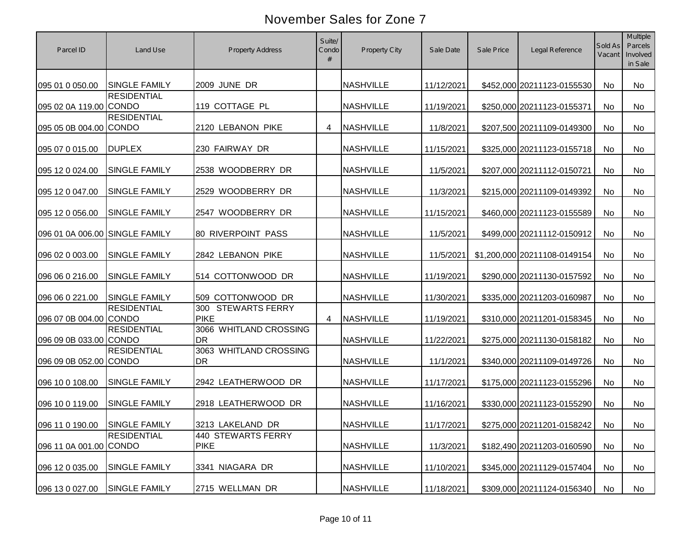| Parcel ID                      | Land Use             | <b>Property Address</b>                     | Suite/<br>Condo<br># | Property City    | Sale Date  | Sale Price | Legal Reference              | Sold As<br>Vacant | Multiple<br>Parcels<br>Involved<br>in Sale |
|--------------------------------|----------------------|---------------------------------------------|----------------------|------------------|------------|------------|------------------------------|-------------------|--------------------------------------------|
| 095 01 0 050.00                | <b>SINGLE FAMILY</b> | 2009 JUNE DR                                |                      | <b>NASHVILLE</b> | 11/12/2021 |            | \$452,000 20211123-0155530   | No                | No                                         |
| 095 02 0A 119.00 CONDO         | <b>RESIDENTIAL</b>   | 119 COTTAGE PL                              |                      | <b>NASHVILLE</b> | 11/19/2021 |            | \$250,000 20211123-0155371   | No                | No                                         |
| 095 05 0B 004.00 CONDO         | <b>RESIDENTIAL</b>   | 2120 LEBANON PIKE                           | 4                    | <b>NASHVILLE</b> | 11/8/2021  |            | \$207,500 20211109-0149300   | No                | No                                         |
| 095 07 0 015.00                | <b>DUPLEX</b>        | 230 FAIRWAY DR                              |                      | <b>NASHVILLE</b> | 11/15/2021 |            | \$325,000 20211123-0155718   | No                | No                                         |
| 095 12 0 024.00                | <b>SINGLE FAMILY</b> | 2538 WOODBERRY DR                           |                      | <b>NASHVILLE</b> | 11/5/2021  |            | \$207,000 20211112-0150721   | <b>No</b>         | <b>No</b>                                  |
| 095 12 0 047.00                | <b>SINGLE FAMILY</b> | 2529 WOODBERRY DR                           |                      | <b>NASHVILLE</b> | 11/3/2021  |            | \$215,000 20211109-0149392   | No                | No                                         |
| 095 12 0 056.00                | <b>SINGLE FAMILY</b> | 2547 WOODBERRY DR                           |                      | <b>NASHVILLE</b> | 11/15/2021 |            | \$460,000 20211123-0155589   | <b>No</b>         | No                                         |
| 096 01 0A 006.00 SINGLE FAMILY |                      | <b>80 RIVERPOINT PASS</b>                   |                      | <b>NASHVILLE</b> | 11/5/2021  |            | \$499,000 20211112-0150912   | No                | No                                         |
| 096 02 0 003.00                | <b>SINGLE FAMILY</b> | 2842 LEBANON PIKE                           |                      | <b>NASHVILLE</b> | 11/5/2021  |            | \$1,200,000 20211108-0149154 | No                | No                                         |
| 096 06 0 216.00                | SINGLE FAMILY        | 514 COTTONWOOD DR                           |                      | <b>NASHVILLE</b> | 11/19/2021 |            | \$290,000 20211130-0157592   | No                | No                                         |
| 096 06 0 221.00                | <b>SINGLE FAMILY</b> | 509 COTTONWOOD DR                           |                      | <b>NASHVILLE</b> | 11/30/2021 |            | \$335,000 20211203-0160987   | No                | No                                         |
| 096 07 0B 004.00 CONDO         | <b>RESIDENTIAL</b>   | <b>STEWARTS FERRY</b><br>300<br><b>PIKE</b> | 4                    | <b>NASHVILLE</b> | 11/19/2021 |            | \$310,000 20211201-0158345   | No                | No                                         |
| 096 09 0B 033.00 CONDO         | <b>RESIDENTIAL</b>   | 3066 WHITLAND CROSSING<br><b>DR</b>         |                      | <b>NASHVILLE</b> | 11/22/2021 |            | \$275,000 20211130-0158182   | No                | No                                         |
| 096 09 0B 052.00 CONDO         | <b>RESIDENTIAL</b>   | 3063 WHITLAND CROSSING<br><b>DR</b>         |                      | <b>NASHVILLE</b> | 11/1/2021  |            | \$340,000 20211109-0149726   | No                | <b>No</b>                                  |
| 096 10 0 108.00                | <b>SINGLE FAMILY</b> | 2942 LEATHERWOOD DR                         |                      | <b>NASHVILLE</b> | 11/17/2021 |            | \$175,000 20211123-0155296   | No                | <b>No</b>                                  |
| 096 10 0 119.00                | <b>SINGLE FAMILY</b> | 2918 LEATHERWOOD DR                         |                      | <b>NASHVILLE</b> | 11/16/2021 |            | \$330,000 20211123-0155290   | No                | No                                         |
| 096 11 0 190.00 SINGLE FAMILY  |                      | 3213 LAKELAND DR                            |                      | <b>NASHVILLE</b> | 11/17/2021 |            | \$275,000 20211201-0158242   | No                | No                                         |
| 096 11 0A 001.00 CONDO         | <b>RESIDENTIAL</b>   | 440 STEWARTS FERRY<br><b>PIKE</b>           |                      | <b>NASHVILLE</b> | 11/3/2021  |            | \$182,490 20211203-0160590   | No                | No                                         |
| 096 12 0 035.00                | <b>SINGLE FAMILY</b> | 3341 NIAGARA DR                             |                      | <b>NASHVILLE</b> | 11/10/2021 |            | \$345,000 20211129-0157404   | No                | No                                         |
| 096 13 0 027.00                | <b>SINGLE FAMILY</b> | 2715 WELLMAN DR                             |                      | <b>NASHVILLE</b> | 11/18/2021 |            | \$309,000 20211124-0156340   | No                | No                                         |